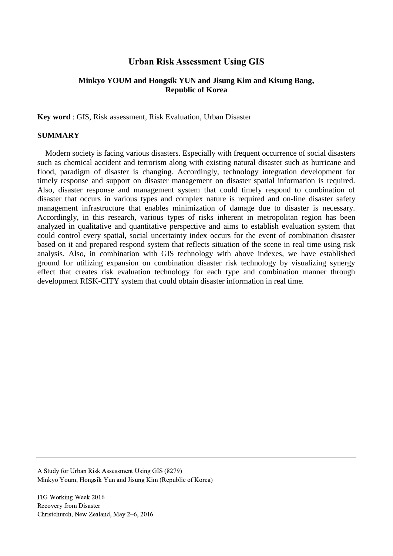# **Urban Risk Assessment Using GIS**

## **Minkyo YOUM and Hongsik YUN and Jisung Kim and Kisung Bang, Republic of Korea**

**Key word** : GIS, Risk assessment, Risk Evaluation, Urban Disaster

### **SUMMARY**

Modern society is facing various disasters. Especially with frequent occurrence of social disasters such as chemical accident and terrorism along with existing natural disaster such as hurricane and flood, paradigm of disaster is changing. Accordingly, technology integration development for timely response and support on disaster management on disaster spatial information is required. Also, disaster response and management system that could timely respond to combination of disaster that occurs in various types and complex nature is required and on-line disaster safety management infrastructure that enables minimization of damage due to disaster is necessary. Accordingly, in this research, various types of risks inherent in metropolitan region has been analyzed in qualitative and quantitative perspective and aims to establish evaluation system that could control every spatial, social uncertainty index occurs for the event of combination disaster based on it and prepared respond system that reflects situation of the scene in real time using risk analysis. Also, in combination with GIS technology with above indexes, we have established ground for utilizing expansion on combination disaster risk technology by visualizing synergy effect that creates risk evaluation technology for each type and combination manner through development RISK-CITY system that could obtain disaster information in real time.

A Study for Urban Risk Assessment Using GIS (8279) Minkyo Youm, Hongsik Yun and Jisung Kim (Republic of Korea)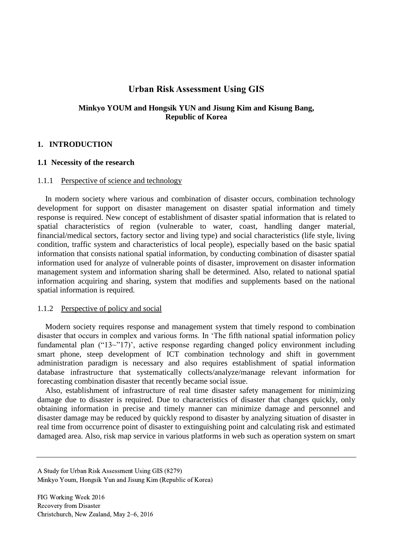# **Urban Risk Assessment Using GIS**

## **Minkyo YOUM and Hongsik YUN and Jisung Kim and Kisung Bang, Republic of Korea**

### **1. INTRODUCTION**

#### **1.1 Necessity of the research**

#### 1.1.1 Perspective of science and technology

In modern society where various and combination of disaster occurs, combination technology development for support on disaster management on disaster spatial information and timely response is required. New concept of establishment of disaster spatial information that is related to spatial characteristics of region (vulnerable to water, coast, handling danger material, financial/medical sectors, factory sector and living type) and social characteristics (life style, living condition, traffic system and characteristics of local people), especially based on the basic spatial information that consists national spatial information, by conducting combination of disaster spatial information used for analyze of vulnerable points of disaster, improvement on disaster information management system and information sharing shall be determined. Also, related to national spatial information acquiring and sharing, system that modifies and supplements based on the national spatial information is required.

#### 1.1.2 Perspective of policy and social

Modern society requires response and management system that timely respond to combination disaster that occurs in complex and various forms. In 'The fifth national spatial information policy fundamental plan ("13~"17)', active response regarding changed policy environment including smart phone, steep development of ICT combination technology and shift in government administration paradigm is necessary and also requires establishment of spatial information database infrastructure that systematically collects/analyze/manage relevant information for forecasting combination disaster that recently became social issue.

Also, establishment of infrastructure of real time disaster safety management for minimizing damage due to disaster is required. Due to characteristics of disaster that changes quickly, only obtaining information in precise and timely manner can minimize damage and personnel and disaster damage may be reduced by quickly respond to disaster by analyzing situation of disaster in real time from occurrence point of disaster to extinguishing point and calculating risk and estimated damaged area. Also, risk map service in various platforms in web such as operation system on smart

A Study for Urban Risk Assessment Using GIS (8279) Minkyo Youm, Hongsik Yun and Jisung Kim (Republic of Korea)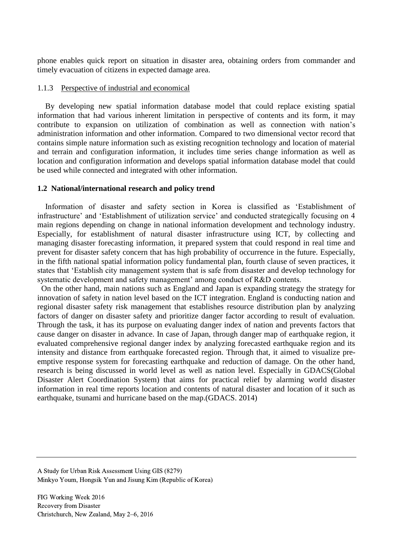phone enables quick report on situation in disaster area, obtaining orders from commander and timely evacuation of citizens in expected damage area.

#### 1.1.3 Perspective of industrial and economical

By developing new spatial information database model that could replace existing spatial information that had various inherent limitation in perspective of contents and its form, it may contribute to expansion on utilization of combination as well as connection with nation's administration information and other information. Compared to two dimensional vector record that contains simple nature information such as existing recognition technology and location of material and terrain and configuration information, it includes time series change information as well as location and configuration information and develops spatial information database model that could be used while connected and integrated with other information.

#### **1.2 National/international research and policy trend**

Information of disaster and safety section in Korea is classified as 'Establishment of infrastructure' and 'Establishment of utilization service' and conducted strategically focusing on 4 main regions depending on change in national information development and technology industry. Especially, for establishment of natural disaster infrastructure using ICT, by collecting and managing disaster forecasting information, it prepared system that could respond in real time and prevent for disaster safety concern that has high probability of occurrence in the future. Especially, in the fifth national spatial information policy fundamental plan, fourth clause of seven practices, it states that 'Establish city management system that is safe from disaster and develop technology for systematic development and safety management' among conduct of R&D contents.

On the other hand, main nations such as England and Japan is expanding strategy the strategy for innovation of safety in nation level based on the ICT integration. England is conducting nation and regional disaster safety risk management that establishes resource distribution plan by analyzing factors of danger on disaster safety and prioritize danger factor according to result of evaluation. Through the task, it has its purpose on evaluating danger index of nation and prevents factors that cause danger on disaster in advance. In case of Japan, through danger map of earthquake region, it evaluated comprehensive regional danger index by analyzing forecasted earthquake region and its intensity and distance from earthquake forecasted region. Through that, it aimed to visualize preemptive response system for forecasting earthquake and reduction of damage. On the other hand, research is being discussed in world level as well as nation level. Especially in GDACS(Global Disaster Alert Coordination System) that aims for practical relief by alarming world disaster information in real time reports location and contents of natural disaster and location of it such as earthquake, tsunami and hurricane based on the map.(GDACS. 2014)

A Study for Urban Risk Assessment Using GIS (8279) Minkyo Youm, Hongsik Yun and Jisung Kim (Republic of Korea)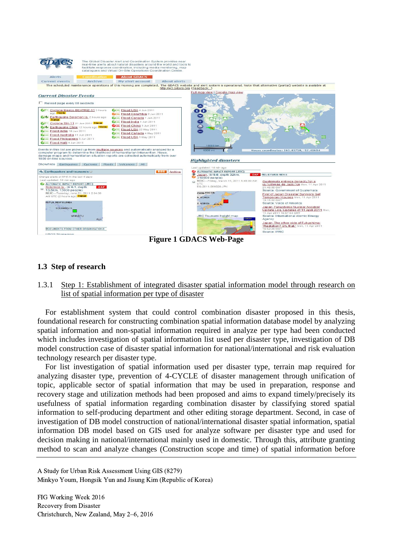

**Figure 1 GDACS Web-Page**

## **1.3 Step of research**

1.3.1 Step 1: Establishment of integrated disaster spatial information model through research on list of spatial information per type of disaster

For establishment system that could control combination disaster proposed in this thesis, foundational research for constructing combination spatial information database model by analyzing spatial information and non-spatial information required in analyze per type had been conducted which includes investigation of spatial information list used per disaster type, investigation of DB model construction case of disaster spatial information for national/international and risk evaluation technology research per disaster type.

For list investigation of spatial information used per disaster type, terrain map required for analyzing disaster type, prevention of 4-CYCLE of disaster management through unification of topic, applicable sector of spatial information that may be used in preparation, response and recovery stage and utilization methods had been proposed and aims to expand timely/precisely its usefulness of spatial information regarding combination disaster by classifying stored spatial information to self-producing department and other editing storage department. Second, in case of investigation of DB model construction of national/international disaster spatial information, spatial information DB model based on GIS used for analyze software per disaster type and used for decision making in national/international mainly used in domestic. Through this, attribute granting method to scan and analyze changes (Construction scope and time) of spatial information before

A Study for Urban Risk Assessment Using GIS (8279) Minkyo Youm, Hongsik Yun and Jisung Kim (Republic of Korea)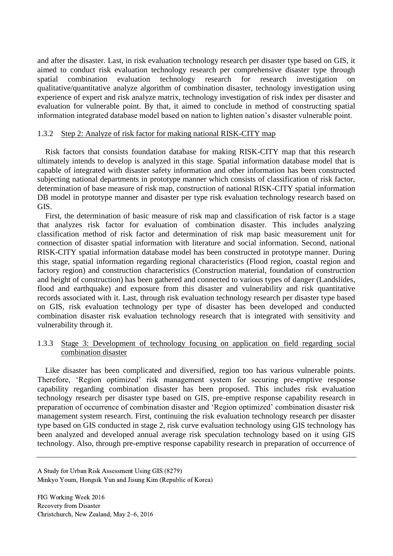and after the disaster. Last, in risk evaluation technology research per disaster type based on GIS, it aimed to conduct risk evaluation technology research per comprehensive disaster type through spatial combination evaluation technology research for research investigation on qualitative/quantitative analyze algorithm of combination disaster, technology investigation using experience of expert and risk analyze matrix, technology investigation of risk index per disaster and evaluation for vulnerable point. By that, it aimed to conclude in method of constructing spatial information integrated database model based on nation to lighten nation's disaster vulnerable point.

### 1.3.2 Step 2: Analyze of risk factor for making national RISK-CITY map

Risk factors that consists foundation database for making RISK-CITY map that this research ultimately intends to develop is analyzed in this stage. Spatial information database model that is capable of integrated with disaster safety information and other information has been constructed subjecting national departments in prototype manner which consists of classification of risk factor, determination of base measure of risk map, construction of national RISK-CITY spatial information DB model in prototype manner and disaster per type risk evaluation technology research based on GIS.

First, the determination of basic measure of risk map and classification of risk factor is a stage that analyzes risk factor for evaluation of combination disaster. This includes analyzing classification method of risk factor and determination of risk map basic measurement unit for connection of disaster spatial information with literature and social information. Second, national RISK-CITY spatial information database model has been constructed in prototype manner. During this stage, spatial information regarding regional characteristics (Flood region, coastal region and factory region) and construction characteristics (Construction material, foundation of construction and height of construction) has been gathered and connected to various types of danger (Landslides, flood and earthquake) and exposure from this disaster and vulnerability and risk quantitative records associated with it. Last, through risk evaluation technology research per disaster type based on GIS, risk evaluation technology per type of disaster has been developed and conducted combination disaster risk evaluation technology research that is integrated with sensitivity and vulnerability through it.

### 1.3.3 Stage 3: Development of technology focusing on application on field regarding social combination disaster

Like disaster has been complicated and diversified, region too has various vulnerable points. Therefore, 'Region optimized' risk management system for securing pre-emptive response capability regarding combination disaster has been proposed. This includes risk evaluation technology research per disaster type based on GIS, pre-emptive response capability research in preparation of occurrence of combination disaster and 'Region optimized' combination disaster risk management system research. First, continuing the risk evaluation technology research per disaster type based on GIS conducted in stage 2, risk curve evaluation technology using GIS technology has been analyzed and developed annual average risk speculation technology based on it using GIS technology. Also, through pre-emptive response capability research in preparation of occurrence of

A Study for Urban Risk Assessment Using GIS (8279) Minkyo Youm, Hongsik Yun and Jisung Kim (Republic of Korea)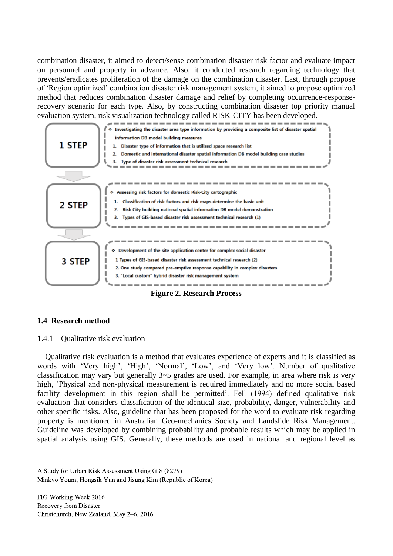combination disaster, it aimed to detect/sense combination disaster risk factor and evaluate impact on personnel and property in advance. Also, it conducted research regarding technology that prevents/eradicates proliferation of the damage on the combination disaster. Last, through propose of 'Region optimized' combination disaster risk management system, it aimed to propose optimized method that reduces combination disaster damage and relief by completing occurrence-responserecovery scenario for each type. Also, by constructing combination disaster top priority manual evaluation system, risk visualization technology called RISK-CITY has been developed.



### **Figure 2. Research Process**

### **1.4 Research method**

#### 1.4.1 Qualitative risk evaluation

Qualitative risk evaluation is a method that evaluates experience of experts and it is classified as words with 'Very high', 'High', 'Normal', 'Low', and 'Very low'. Number of qualitative classification may vary but generally 3~5 grades are used. For example, in area where risk is very high, 'Physical and non-physical measurement is required immediately and no more social based facility development in this region shall be permitted'. Fell (1994) defined qualitative risk evaluation that considers classification of the identical size, probability, danger, vulnerability and other specific risks. Also, guideline that has been proposed for the word to evaluate risk regarding property is mentioned in Australian Geo-mechanics Society and Landslide Risk Management. Guideline was developed by combining probability and probable results which may be applied in spatial analysis using GIS. Generally, these methods are used in national and regional level as

A Study for Urban Risk Assessment Using GIS (8279) Minkyo Youm, Hongsik Yun and Jisung Kim (Republic of Korea)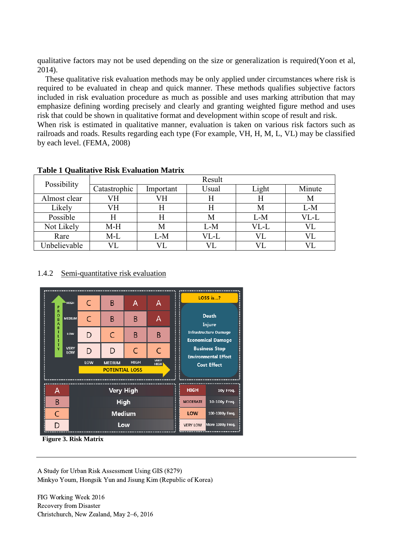qualitative factors may not be used depending on the size or generalization is required(Yoon et al, 2014).

These qualitative risk evaluation methods may be only applied under circumstances where risk is required to be evaluated in cheap and quick manner. These methods qualifies subjective factors included in risk evaluation procedure as much as possible and uses marking attribution that may emphasize defining wording precisely and clearly and granting weighted figure method and uses risk that could be shown in qualitative format and development within scope of result and risk. When risk is estimated in qualitative manner, evaluation is taken on various risk factors such as

railroads and roads. Results regarding each type (For example, VH, H, M, L, VL) may be classified by each level. (FEMA, 2008)

| $\sim$<br>Possibility | Result       |           |       |       |        |
|-----------------------|--------------|-----------|-------|-------|--------|
|                       | Catastrophic | Important | Usual | Light | Minute |
| Almost clear          | VН           | VН        | H     | Н     | М      |
| Likely                | VH           |           | H     | М     | $L-M$  |
| Possible              |              |           | М     | L-M   | VL-L   |
| Not Likely            | $M-H$        | M         | $L-M$ | VL-L  |        |
| Rare                  | $M-L$        | $L-M$     | VL-L  | VL    |        |
| Unbelievable          |              |           |       |       |        |

## **Table 1 Qualitative Risk Evaluation Matrix**

## 1.4.2 Semi-quantitative risk evaluation



**Figure 3. Risk Matrix**

A Study for Urban Risk Assessment Using GIS (8279) Minkyo Youm, Hongsik Yun and Jisung Kim (Republic of Korea)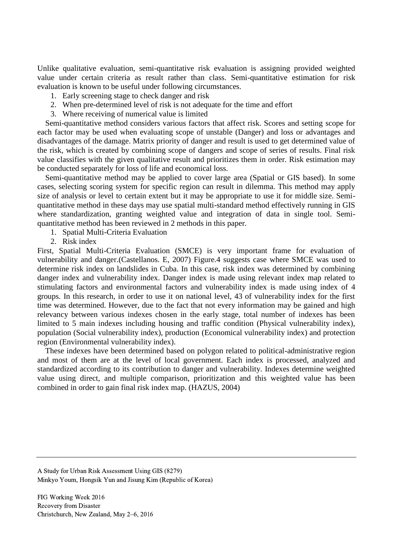Unlike qualitative evaluation, semi-quantitative risk evaluation is assigning provided weighted value under certain criteria as result rather than class. Semi-quantitative estimation for risk evaluation is known to be useful under following circumstances.

- 1. Early screening stage to check danger and risk
- 2. When pre-determined level of risk is not adequate for the time and effort
- 3. Where receiving of numerical value is limited

Semi-quantitative method considers various factors that affect risk. Scores and setting scope for each factor may be used when evaluating scope of unstable (Danger) and loss or advantages and disadvantages of the damage. Matrix priority of danger and result is used to get determined value of the risk, which is created by combining scope of dangers and scope of series of results. Final risk value classifies with the given qualitative result and prioritizes them in order. Risk estimation may be conducted separately for loss of life and economical loss.

Semi-quantitative method may be applied to cover large area (Spatial or GIS based). In some cases, selecting scoring system for specific region can result in dilemma. This method may apply size of analysis or level to certain extent but it may be appropriate to use it for middle size. Semiquantitative method in these days may use spatial multi-standard method effectively running in GIS where standardization, granting weighted value and integration of data in single tool. Semiquantitative method has been reviewed in 2 methods in this paper.

- 1. Spatial Multi-Criteria Evaluation
- 2. Risk index

First, Spatial Multi-Criteria Evaluation (SMCE) is very important frame for evaluation of vulnerability and danger.(Castellanos. E, 2007) Figure.4 suggests case where SMCE was used to determine risk index on landslides in Cuba. In this case, risk index was determined by combining danger index and vulnerability index. Danger index is made using relevant index map related to stimulating factors and environmental factors and vulnerability index is made using index of 4 groups. In this research, in order to use it on national level, 43 of vulnerability index for the first time was determined. However, due to the fact that not every information may be gained and high relevancy between various indexes chosen in the early stage, total number of indexes has been limited to 5 main indexes including housing and traffic condition (Physical vulnerability index), population (Social vulnerability index), production (Economical vulnerability index) and protection region (Environmental vulnerability index).

These indexes have been determined based on polygon related to political-administrative region and most of them are at the level of local government. Each index is processed, analyzed and standardized according to its contribution to danger and vulnerability. Indexes determine weighted value using direct, and multiple comparison, prioritization and this weighted value has been combined in order to gain final risk index map. (HAZUS, 2004)

A Study for Urban Risk Assessment Using GIS (8279) Minkyo Youm, Hongsik Yun and Jisung Kim (Republic of Korea)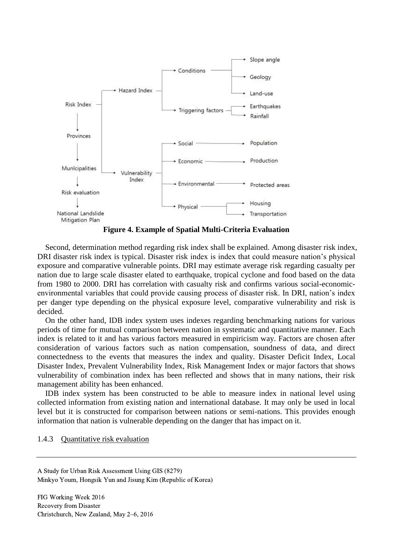

**Figure 4. Example of Spatial Multi-Criteria Evaluation**

Second, determination method regarding risk index shall be explained. Among disaster risk index, DRI disaster risk index is typical. Disaster risk index is index that could measure nation's physical exposure and comparative vulnerable points. DRI may estimate average risk regarding casualty per nation due to large scale disaster elated to earthquake, tropical cyclone and food based on the data from 1980 to 2000. DRI has correlation with casualty risk and confirms various social-economicenvironmental variables that could provide causing process of disaster risk. In DRI, nation's index per danger type depending on the physical exposure level, comparative vulnerability and risk is decided.

On the other hand, IDB index system uses indexes regarding benchmarking nations for various periods of time for mutual comparison between nation in systematic and quantitative manner. Each index is related to it and has various factors measured in empiricism way. Factors are chosen after consideration of various factors such as nation compensation, soundness of data, and direct connectedness to the events that measures the index and quality. Disaster Deficit Index, Local Disaster Index, Prevalent Vulnerability Index, Risk Management Index or major factors that shows vulnerability of combination index has been reflected and shows that in many nations, their risk management ability has been enhanced.

IDB index system has been constructed to be able to measure index in national level using collected information from existing nation and international database. It may only be used in local level but it is constructed for comparison between nations or semi-nations. This provides enough information that nation is vulnerable depending on the danger that has impact on it.

#### 1.4.3 Quantitative risk evaluation

A Study for Urban Risk Assessment Using GIS (8279) Minkyo Youm, Hongsik Yun and Jisung Kim (Republic of Korea)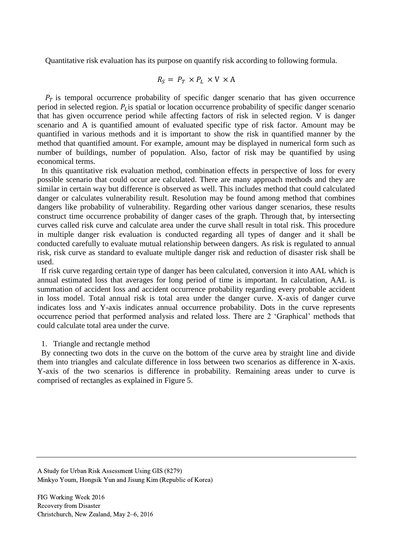Quantitative risk evaluation has its purpose on quantify risk according to following formula.

$$
R_S = P_T \times P_L \times V \times A
$$

 $P_T$  is temporal occurrence probability of specific danger scenario that has given occurrence period in selected region.  $P_L$  is spatial or location occurrence probability of specific danger scenario that has given occurrence period while affecting factors of risk in selected region. V is danger scenario and A is quantified amount of evaluated specific type of risk factor. Amount may be quantified in various methods and it is important to show the risk in quantified manner by the method that quantified amount. For example, amount may be displayed in numerical form such as number of buildings, number of population. Also, factor of risk may be quantified by using economical terms.

In this quantitative risk evaluation method, combination effects in perspective of loss for every possible scenario that could occur are calculated. There are many approach methods and they are similar in certain way but difference is observed as well. This includes method that could calculated danger or calculates vulnerability result. Resolution may be found among method that combines dangers like probability of vulnerability. Regarding other various danger scenarios, these results construct time occurrence probability of danger cases of the graph. Through that, by intersecting curves called risk curve and calculate area under the curve shall result in total risk. This procedure in multiple danger risk evaluation is conducted regarding all types of danger and it shall be conducted carefully to evaluate mutual relationship between dangers. As risk is regulated to annual risk, risk curve as standard to evaluate multiple danger risk and reduction of disaster risk shall be used.

If risk curve regarding certain type of danger has been calculated, conversion it into AAL which is annual estimated loss that averages for long period of time is important. In calculation, AAL is summation of accident loss and accident occurrence probability regarding every probable accident in loss model. Total annual risk is total area under the danger curve. X-axis of danger curve indicates loss and Y-axis indicates annual occurrence probability. Dots in the curve represents occurrence period that performed analysis and related loss. There are 2 'Graphical' methods that could calculate total area under the curve.

#### 1. Triangle and rectangle method

By connecting two dots in the curve on the bottom of the curve area by straight line and divide them into triangles and calculate difference in loss between two scenarios as difference in X-axis. Y-axis of the two scenarios is difference in probability. Remaining areas under to curve is comprised of rectangles as explained in Figure 5.

A Study for Urban Risk Assessment Using GIS (8279) Minkyo Youm, Hongsik Yun and Jisung Kim (Republic of Korea)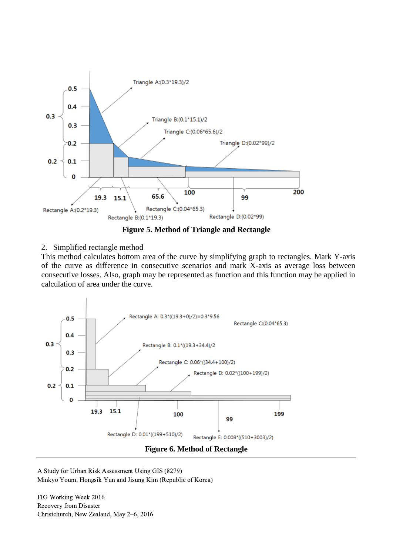



## 2. Simplified rectangle method

This method calculates bottom area of the curve by simplifying graph to rectangles. Mark Y-axis of the curve as difference in consecutive scenarios and mark X-axis as average loss between consecutive losses. Also, graph may be represented as function and this function may be applied in calculation of area under the curve.



A Study for Urban Risk Assessment Using GIS (8279) Minkyo Youm, Hongsik Yun and Jisung Kim (Republic of Korea)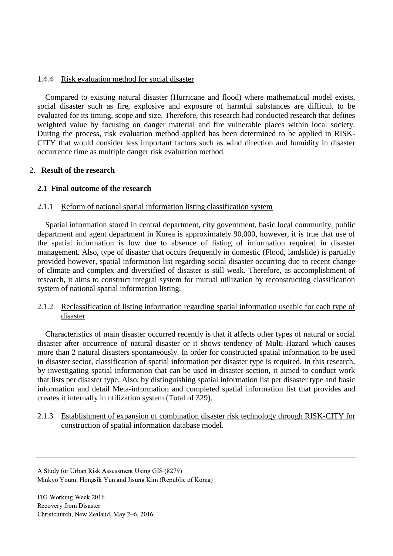## 1.4.4 Risk evaluation method for social disaster

Compared to existing natural disaster (Hurricane and flood) where mathematical model exists, social disaster such as fire, explosive and exposure of harmful substances are difficult to be evaluated for its timing, scope and size. Therefore, this research had conducted research that defines weighted value by focusing on danger material and fire vulnerable places within local society. During the process, risk evaluation method applied has been determined to be applied in RISK-CITY that would consider less important factors such as wind direction and humidity in disaster occurrence time as multiple danger risk evaluation method.

## 2. **Result of the research**

## **2.1 Final outcome of the research**

### 2.1.1 Reform of national spatial information listing classification system

Spatial information stored in central department, city government, basic local community, public department and agent department in Korea is approximately 90,000, however, it is true that use of the spatial information is low due to absence of listing of information required in disaster management. Also, type of disaster that occurs frequently in domestic (Flood, landslide) is partially provided however, spatial information list regarding social disaster occurring due to recent change of climate and complex and diversified of disaster is still weak. Therefore, as accomplishment of research, it aims to construct integral system for mutual utilization by reconstructing classification system of national spatial information listing.

## 2.1.2 Reclassification of listing information regarding spatial information useable for each type of disaster

Characteristics of main disaster occurred recently is that it affects other types of natural or social disaster after occurrence of natural disaster or it shows tendency of Multi-Hazard which causes more than 2 natural disasters spontaneously. In order for constructed spatial information to be used in disaster sector, classification of spatial information per disaster type is required. In this research, by investigating spatial information that can be used in disaster section, it aimed to conduct work that lists per disaster type. Also, by distinguishing spatial information list per disaster type and basic information and detail Meta-information and completed spatial information list that provides and creates it internally in utilization system (Total of 329).

## 2.1.3 Establishment of expansion of combination disaster risk technology through RISK-CITY for construction of spatial information database model.

A Study for Urban Risk Assessment Using GIS (8279) Minkyo Youm, Hongsik Yun and Jisung Kim (Republic of Korea)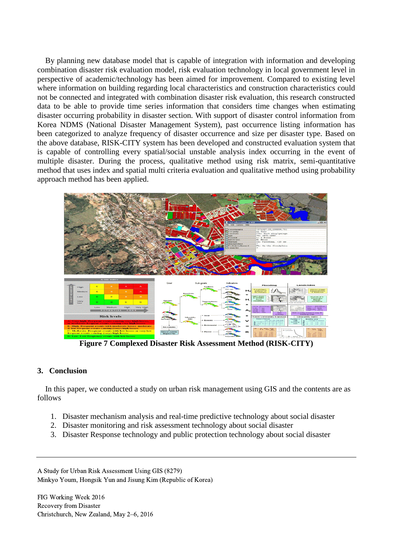By planning new database model that is capable of integration with information and developing combination disaster risk evaluation model, risk evaluation technology in local government level in perspective of academic/technology has been aimed for improvement. Compared to existing level where information on building regarding local characteristics and construction characteristics could not be connected and integrated with combination disaster risk evaluation, this research constructed data to be able to provide time series information that considers time changes when estimating disaster occurring probability in disaster section. With support of disaster control information from Korea NDMS (National Disaster Management System), past occurrence listing information has been categorized to analyze frequency of disaster occurrence and size per disaster type. Based on the above database, RISK-CITY system has been developed and constructed evaluation system that is capable of controlling every spatial/social unstable analysis index occurring in the event of multiple disaster. During the process, qualitative method using risk matrix, semi-quantitative method that uses index and spatial multi criteria evaluation and qualitative method using probability approach method has been applied.



**Figure 7 Complexed Disaster Risk Assessment Method (RISK-CITY)**

### **3. Conclusion**

In this paper, we conducted a study on urban risk management using GIS and the contents are as follows

- 1. Disaster mechanism analysis and real-time predictive technology about social disaster
- 2. Disaster monitoring and risk assessment technology about social disaster
- 3. Disaster Response technology and public protection technology about social disaster

A Study for Urban Risk Assessment Using GIS (8279) Minkyo Youm, Hongsik Yun and Jisung Kim (Republic of Korea)